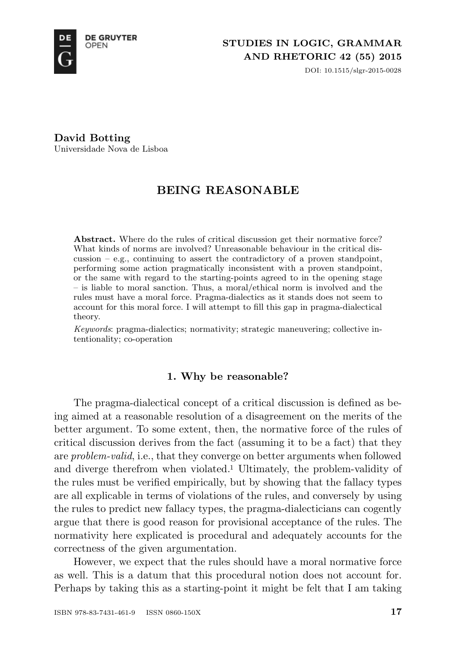

DOI: 10.1515/slgr-2015-0028

**David Botting** Universidade Nova de Lisboa

# **BEING REASONABLE**

Abstract. Where do the rules of critical discussion get their normative force? What kinds of norms are involved? Unreasonable behaviour in the critical discussion  $-$  e.g., continuing to assert the contradictory of a proven standpoint, performing some action pragmatically inconsistent with a proven standpoint, or the same with regard to the starting-points agreed to in the opening stage – is liable to moral sanction. Thus, a moral/ethical norm is involved and the rules must have a moral force. Pragma-dialectics as it stands does not seem to account for this moral force. I will attempt to fill this gap in pragma-dialectical theory.

*Keywords*: pragma-dialectics; normativity; strategic maneuvering; collective intentionality; co-operation

# **1. Why be reasonable?**

The pragma-dialectical concept of a critical discussion is defined as being aimed at a reasonable resolution of a disagreement on the merits of the better argument. To some extent, then, the normative force of the rules of critical discussion derives from the fact (assuming it to be a fact) that they are *problem-valid*, i.e., that they converge on better arguments when followed and diverge therefrom when violated.<sup>1</sup> Ultimately, the problem-validity of the rules must be verified empirically, but by showing that the fallacy types are all explicable in terms of violations of the rules, and conversely by using the rules to predict new fallacy types, the pragma-dialecticians can cogently argue that there is good reason for provisional acceptance of the rules. The normativity here explicated is procedural and adequately accounts for the correctness of the given argumentation.

However, we expect that the rules should have a moral normative force as well. This is a datum that this procedural notion does not account for. Perhaps by taking this as a starting-point it might be felt that I am taking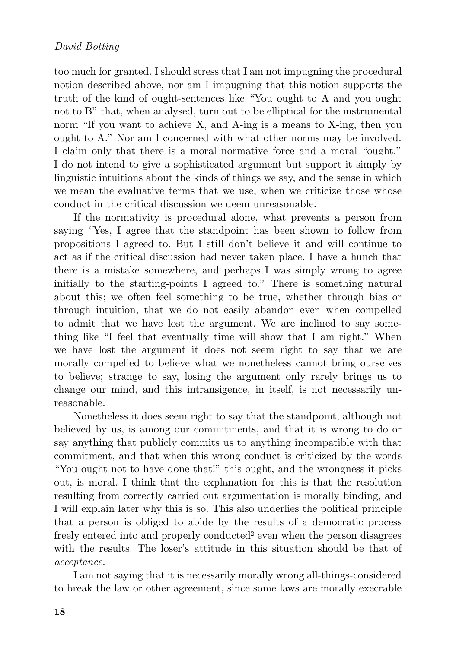too much for granted. I should stress that I am not impugning the procedural notion described above, nor am I impugning that this notion supports the truth of the kind of ought-sentences like "You ought to A and you ought not to B" that, when analysed, turn out to be elliptical for the instrumental norm "If you want to achieve X, and A-ing is a means to X-ing, then you ought to A." Nor am I concerned with what other norms may be involved. I claim only that there is a moral normative force and a moral "ought." I do not intend to give a sophisticated argument but support it simply by linguistic intuitions about the kinds of things we say, and the sense in which we mean the evaluative terms that we use, when we criticize those whose conduct in the critical discussion we deem unreasonable.

If the normativity is procedural alone, what prevents a person from saying "Yes, I agree that the standpoint has been shown to follow from propositions I agreed to. But I still don't believe it and will continue to act as if the critical discussion had never taken place. I have a hunch that there is a mistake somewhere, and perhaps I was simply wrong to agree initially to the starting-points I agreed to." There is something natural about this; we often feel something to be true, whether through bias or through intuition, that we do not easily abandon even when compelled to admit that we have lost the argument. We are inclined to say something like "I feel that eventually time will show that I am right." When we have lost the argument it does not seem right to say that we are morally compelled to believe what we nonetheless cannot bring ourselves to believe; strange to say, losing the argument only rarely brings us to change our mind, and this intransigence, in itself, is not necessarily unreasonable.

Nonetheless it does seem right to say that the standpoint, although not believed by us, is among our commitments, and that it is wrong to do or say anything that publicly commits us to anything incompatible with that commitment, and that when this wrong conduct is criticized by the words "You ought not to have done that!" this ought, and the wrongness it picks out, is moral. I think that the explanation for this is that the resolution resulting from correctly carried out argumentation is morally binding, and I will explain later why this is so. This also underlies the political principle that a person is obliged to abide by the results of a democratic process freely entered into and properly conducted<sup>2</sup> even when the person disagrees with the results. The loser's attitude in this situation should be that of *acceptance*.

I am not saying that it is necessarily morally wrong all-things-considered to break the law or other agreement, since some laws are morally execrable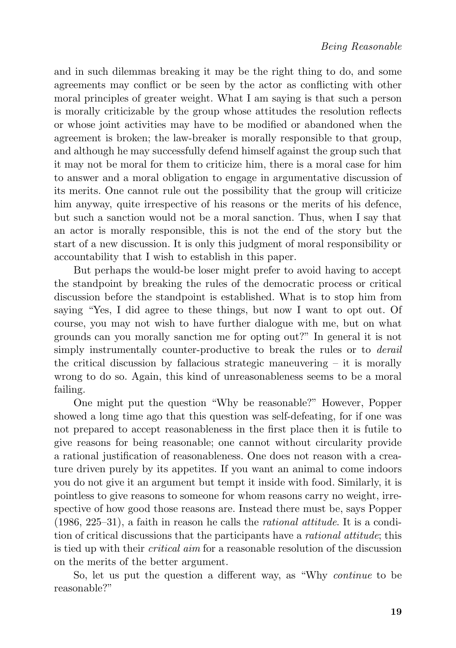and in such dilemmas breaking it may be the right thing to do, and some agreements may conflict or be seen by the actor as conflicting with other moral principles of greater weight. What I am saying is that such a person is morally criticizable by the group whose attitudes the resolution reflects or whose joint activities may have to be modified or abandoned when the agreement is broken; the law-breaker is morally responsible to that group, and although he may successfully defend himself against the group such that it may not be moral for them to criticize him, there is a moral case for him to answer and a moral obligation to engage in argumentative discussion of its merits. One cannot rule out the possibility that the group will criticize him anyway, quite irrespective of his reasons or the merits of his defence, but such a sanction would not be a moral sanction. Thus, when I say that an actor is morally responsible, this is not the end of the story but the start of a new discussion. It is only this judgment of moral responsibility or accountability that I wish to establish in this paper.

But perhaps the would-be loser might prefer to avoid having to accept the standpoint by breaking the rules of the democratic process or critical discussion before the standpoint is established. What is to stop him from saying "Yes, I did agree to these things, but now I want to opt out. Of course, you may not wish to have further dialogue with me, but on what grounds can you morally sanction me for opting out?" In general it is not simply instrumentally counter-productive to break the rules or to *derail* the critical discussion by fallacious strategic maneuvering  $-$  it is morally wrong to do so. Again, this kind of unreasonableness seems to be a moral failing.

One might put the question "Why be reasonable?" However, Popper showed a long time ago that this question was self-defeating, for if one was not prepared to accept reasonableness in the first place then it is futile to give reasons for being reasonable; one cannot without circularity provide a rational justification of reasonableness. One does not reason with a creature driven purely by its appetites. If you want an animal to come indoors you do not give it an argument but tempt it inside with food. Similarly, it is pointless to give reasons to someone for whom reasons carry no weight, irrespective of how good those reasons are. Instead there must be, says Popper (1986, 225–31), a faith in reason he calls the *rational attitude*. It is a condition of critical discussions that the participants have a *rational attitude*; this is tied up with their *critical aim* for a reasonable resolution of the discussion on the merits of the better argument.

So, let us put the question a different way, as "Why *continue* to be reasonable?"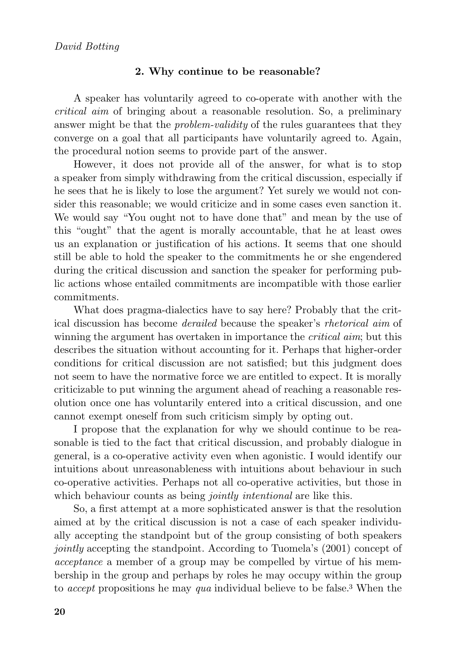#### **2. Why continue to be reasonable?**

A speaker has voluntarily agreed to co-operate with another with the *critical aim* of bringing about a reasonable resolution. So, a preliminary answer might be that the *problem-validity* of the rules guarantees that they converge on a goal that all participants have voluntarily agreed to. Again, the procedural notion seems to provide part of the answer.

However, it does not provide all of the answer, for what is to stop a speaker from simply withdrawing from the critical discussion, especially if he sees that he is likely to lose the argument? Yet surely we would not consider this reasonable; we would criticize and in some cases even sanction it. We would say "You ought not to have done that" and mean by the use of this "ought" that the agent is morally accountable, that he at least owes us an explanation or justification of his actions. It seems that one should still be able to hold the speaker to the commitments he or she engendered during the critical discussion and sanction the speaker for performing public actions whose entailed commitments are incompatible with those earlier commitments.

What does pragma-dialectics have to say here? Probably that the critical discussion has become *derailed* because the speaker's *rhetorical aim* of winning the argument has overtaken in importance the *critical aim*; but this describes the situation without accounting for it. Perhaps that higher-order conditions for critical discussion are not satisfied; but this judgment does not seem to have the normative force we are entitled to expect. It is morally criticizable to put winning the argument ahead of reaching a reasonable resolution once one has voluntarily entered into a critical discussion, and one cannot exempt oneself from such criticism simply by opting out.

I propose that the explanation for why we should continue to be reasonable is tied to the fact that critical discussion, and probably dialogue in general, is a co-operative activity even when agonistic. I would identify our intuitions about unreasonableness with intuitions about behaviour in such co-operative activities. Perhaps not all co-operative activities, but those in which behaviour counts as being *jointly intentional* are like this.

So, a first attempt at a more sophisticated answer is that the resolution aimed at by the critical discussion is not a case of each speaker individually accepting the standpoint but of the group consisting of both speakers *jointly* accepting the standpoint. According to Tuomela's (2001) concept of *acceptance* a member of a group may be compelled by virtue of his membership in the group and perhaps by roles he may occupy within the group to *accept* propositions he may *qua* individual believe to be false.<sup>3</sup> When the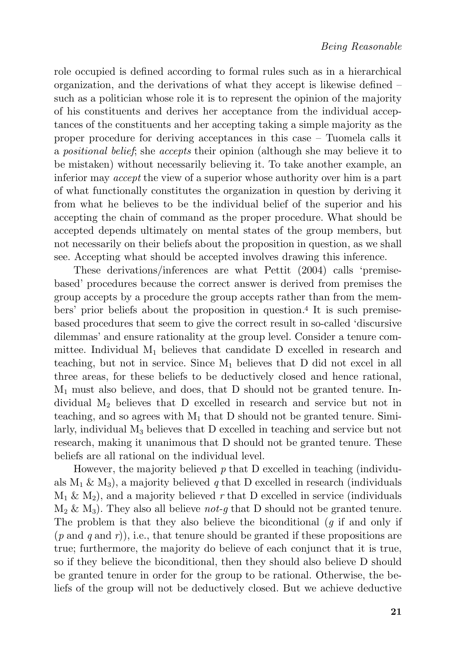role occupied is defined according to formal rules such as in a hierarchical organization, and the derivations of what they accept is likewise defined – such as a politician whose role it is to represent the opinion of the majority of his constituents and derives her acceptance from the individual acceptances of the constituents and her accepting taking a simple majority as the proper procedure for deriving acceptances in this case – Tuomela calls it a *positional belief*; she *accepts* their opinion (although she may believe it to be mistaken) without necessarily believing it. To take another example, an inferior may *accept* the view of a superior whose authority over him is a part of what functionally constitutes the organization in question by deriving it from what he believes to be the individual belief of the superior and his accepting the chain of command as the proper procedure. What should be accepted depends ultimately on mental states of the group members, but not necessarily on their beliefs about the proposition in question, as we shall see. Accepting what should be accepted involves drawing this inference.

These derivations/inferences are what Pettit (2004) calls 'premisebased' procedures because the correct answer is derived from premises the group accepts by a procedure the group accepts rather than from the members' prior beliefs about the proposition in question.<sup>4</sup> It is such premisebased procedures that seem to give the correct result in so-called 'discursive dilemmas' and ensure rationality at the group level. Consider a tenure committee. Individual  $M_1$  believes that candidate D excelled in research and teaching, but not in service. Since  $M_1$  believes that D did not excel in all three areas, for these beliefs to be deductively closed and hence rational,  $M_1$  must also believe, and does, that D should not be granted tenure. Individual M<sup>2</sup> believes that D excelled in research and service but not in teaching, and so agrees with  $M_1$  that D should not be granted tenure. Similarly, individual M<sup>3</sup> believes that D excelled in teaching and service but not research, making it unanimous that D should not be granted tenure. These beliefs are all rational on the individual level.

However, the majority believed *p* that D excelled in teaching (individuals  $M_1 \& M_3$ ), a majority believed q that D excelled in research (individuals  $M_1 \& M_2$ ), and a majority believed r that D excelled in service (individuals M<sup>2</sup> & M3). They also all believe *not-g* that D should not be granted tenure. The problem is that they also believe the biconditional (*g* if and only if (*p* and *q* and *r*)), i.e., that tenure should be granted if these propositions are true; furthermore, the majority do believe of each conjunct that it is true, so if they believe the biconditional, then they should also believe D should be granted tenure in order for the group to be rational. Otherwise, the beliefs of the group will not be deductively closed. But we achieve deductive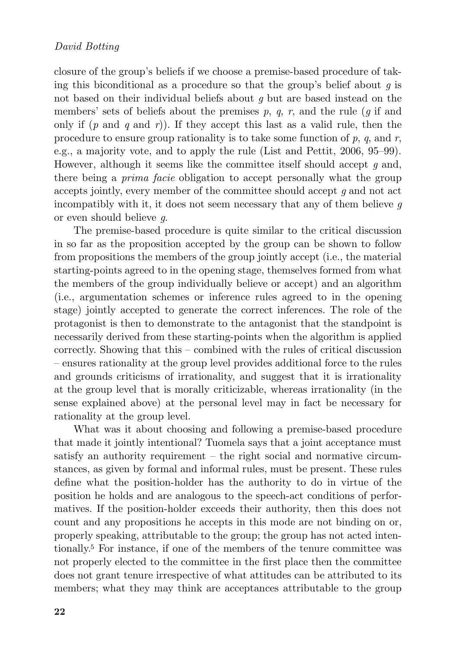closure of the group's beliefs if we choose a premise-based procedure of taking this biconditional as a procedure so that the group's belief about *g* is not based on their individual beliefs about *g* but are based instead on the members' sets of beliefs about the premises  $p$ ,  $q$ ,  $r$ , and the rule ( $q$  if and only if  $(p \text{ and } q \text{ and } r)$ ). If they accept this last as a valid rule, then the procedure to ensure group rationality is to take some function of *p*, *q*, and *r*, e.g., a majority vote, and to apply the rule (List and Pettit, 2006, 95–99). However, although it seems like the committee itself should accept *g* and, there being a *prima facie* obligation to accept personally what the group accepts jointly, every member of the committee should accept *g* and not act incompatibly with it, it does not seem necessary that any of them believe *g* or even should believe *g*.

The premise-based procedure is quite similar to the critical discussion in so far as the proposition accepted by the group can be shown to follow from propositions the members of the group jointly accept (i.e., the material starting-points agreed to in the opening stage, themselves formed from what the members of the group individually believe or accept) and an algorithm (i.e., argumentation schemes or inference rules agreed to in the opening stage) jointly accepted to generate the correct inferences. The role of the protagonist is then to demonstrate to the antagonist that the standpoint is necessarily derived from these starting-points when the algorithm is applied correctly. Showing that this – combined with the rules of critical discussion – ensures rationality at the group level provides additional force to the rules and grounds criticisms of irrationality, and suggest that it is irrationality at the group level that is morally criticizable, whereas irrationality (in the sense explained above) at the personal level may in fact be necessary for rationality at the group level.

What was it about choosing and following a premise-based procedure that made it jointly intentional? Tuomela says that a joint acceptance must satisfy an authority requirement – the right social and normative circumstances, as given by formal and informal rules, must be present. These rules define what the position-holder has the authority to do in virtue of the position he holds and are analogous to the speech-act conditions of performatives. If the position-holder exceeds their authority, then this does not count and any propositions he accepts in this mode are not binding on or, properly speaking, attributable to the group; the group has not acted intentionally.<sup>5</sup> For instance, if one of the members of the tenure committee was not properly elected to the committee in the first place then the committee does not grant tenure irrespective of what attitudes can be attributed to its members; what they may think are acceptances attributable to the group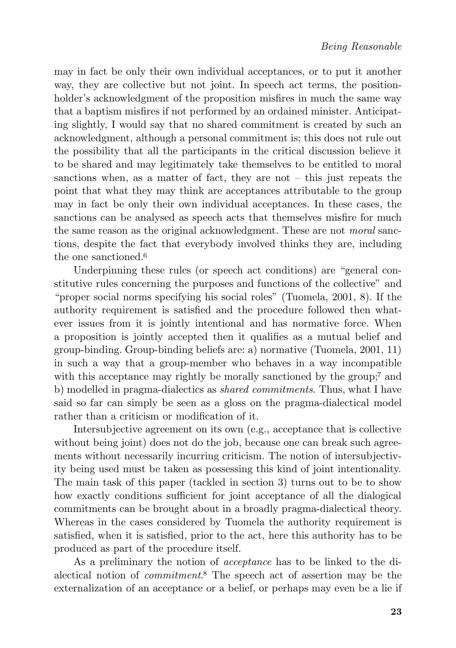may in fact be only their own individual acceptances, or to put it another way, they are collective but not joint. In speech act terms, the positionholder's acknowledgment of the proposition misfires in much the same way that a baptism misfires if not performed by an ordained minister. Anticipating slightly, I would say that no shared commitment is created by such an acknowledgment, although a personal commitment is; this does not rule out the possibility that all the participants in the critical discussion believe it to be shared and may legitimately take themselves to be entitled to moral sanctions when, as a matter of fact, they are not – this just repeats the point that what they may think are acceptances attributable to the group may in fact be only their own individual acceptances. In these cases, the sanctions can be analysed as speech acts that themselves misfire for much the same reason as the original acknowledgment. These are not *moral* sanctions, despite the fact that everybody involved thinks they are, including the one sanctioned.<sup>6</sup>

Underpinning these rules (or speech act conditions) are "general constitutive rules concerning the purposes and functions of the collective" and "proper social norms specifying his social roles" (Tuomela, 2001, 8). If the authority requirement is satisfied and the procedure followed then whatever issues from it is jointly intentional and has normative force. When a proposition is jointly accepted then it qualifies as a mutual belief and group-binding. Group-binding beliefs are: a) normative (Tuomela, 2001, 11) in such a way that a group-member who behaves in a way incompatible with this acceptance may rightly be morally sanctioned by the group;<sup>7</sup> and b) modelled in pragma-dialectics as *shared commitments*. Thus, what I have said so far can simply be seen as a gloss on the pragma-dialectical model rather than a criticism or modification of it.

Intersubjective agreement on its own (e.g., acceptance that is collective without being joint) does not do the job, because one can break such agreements without necessarily incurring criticism. The notion of intersubjectivity being used must be taken as possessing this kind of joint intentionality. The main task of this paper (tackled in section 3) turns out to be to show how exactly conditions sufficient for joint acceptance of all the dialogical commitments can be brought about in a broadly pragma-dialectical theory. Whereas in the cases considered by Tuomela the authority requirement is satisfied, when it is satisfied, prior to the act, here this authority has to be produced as part of the procedure itself.

As a preliminary the notion of *acceptance* has to be linked to the dialectical notion of *commitment*. <sup>8</sup> The speech act of assertion may be the externalization of an acceptance or a belief, or perhaps may even be a lie if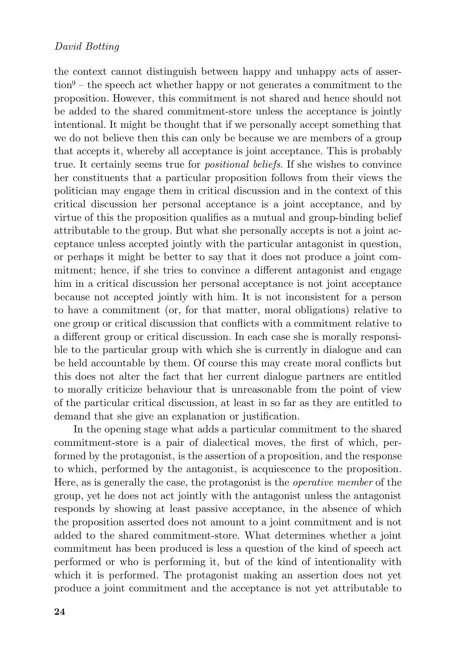the context cannot distinguish between happy and unhappy acts of asser- $\tau$  the speech act whether happy or not generates a commitment to the proposition. However, this commitment is not shared and hence should not be added to the shared commitment-store unless the acceptance is jointly intentional. It might be thought that if we personally accept something that we do not believe then this can only be because we are members of a group that accepts it, whereby all acceptance is joint acceptance. This is probably true. It certainly seems true for *positional beliefs*. If she wishes to convince her constituents that a particular proposition follows from their views the politician may engage them in critical discussion and in the context of this critical discussion her personal acceptance is a joint acceptance, and by virtue of this the proposition qualifies as a mutual and group-binding belief attributable to the group. But what she personally accepts is not a joint acceptance unless accepted jointly with the particular antagonist in question, or perhaps it might be better to say that it does not produce a joint commitment; hence, if she tries to convince a different antagonist and engage him in a critical discussion her personal acceptance is not joint acceptance because not accepted jointly with him. It is not inconsistent for a person to have a commitment (or, for that matter, moral obligations) relative to one group or critical discussion that conflicts with a commitment relative to a different group or critical discussion. In each case she is morally responsible to the particular group with which she is currently in dialogue and can be held accountable by them. Of course this may create moral conflicts but this does not alter the fact that her current dialogue partners are entitled to morally criticize behaviour that is unreasonable from the point of view of the particular critical discussion, at least in so far as they are entitled to demand that she give an explanation or justification.

In the opening stage what adds a particular commitment to the shared commitment-store is a pair of dialectical moves, the first of which, performed by the protagonist, is the assertion of a proposition, and the response to which, performed by the antagonist, is acquiescence to the proposition. Here, as is generally the case, the protagonist is the *operative member* of the group, yet he does not act jointly with the antagonist unless the antagonist responds by showing at least passive acceptance, in the absence of which the proposition asserted does not amount to a joint commitment and is not added to the shared commitment-store. What determines whether a joint commitment has been produced is less a question of the kind of speech act performed or who is performing it, but of the kind of intentionality with which it is performed. The protagonist making an assertion does not yet produce a joint commitment and the acceptance is not yet attributable to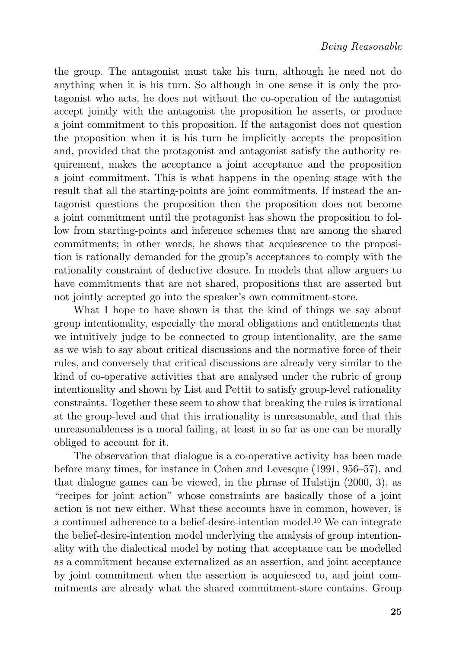the group. The antagonist must take his turn, although he need not do anything when it is his turn. So although in one sense it is only the protagonist who acts, he does not without the co-operation of the antagonist accept jointly with the antagonist the proposition he asserts, or produce a joint commitment to this proposition. If the antagonist does not question the proposition when it is his turn he implicitly accepts the proposition and, provided that the protagonist and antagonist satisfy the authority requirement, makes the acceptance a joint acceptance and the proposition a joint commitment. This is what happens in the opening stage with the result that all the starting-points are joint commitments. If instead the antagonist questions the proposition then the proposition does not become a joint commitment until the protagonist has shown the proposition to follow from starting-points and inference schemes that are among the shared commitments; in other words, he shows that acquiescence to the proposition is rationally demanded for the group's acceptances to comply with the rationality constraint of deductive closure. In models that allow arguers to have commitments that are not shared, propositions that are asserted but not jointly accepted go into the speaker's own commitment-store.

What I hope to have shown is that the kind of things we say about group intentionality, especially the moral obligations and entitlements that we intuitively judge to be connected to group intentionality, are the same as we wish to say about critical discussions and the normative force of their rules, and conversely that critical discussions are already very similar to the kind of co-operative activities that are analysed under the rubric of group intentionality and shown by List and Pettit to satisfy group-level rationality constraints. Together these seem to show that breaking the rules is irrational at the group-level and that this irrationality is unreasonable, and that this unreasonableness is a moral failing, at least in so far as one can be morally obliged to account for it.

The observation that dialogue is a co-operative activity has been made before many times, for instance in Cohen and Levesque (1991, 956–57), and that dialogue games can be viewed, in the phrase of Hulstijn (2000, 3), as "recipes for joint action" whose constraints are basically those of a joint action is not new either. What these accounts have in common, however, is a continued adherence to a belief-desire-intention model.<sup>10</sup> We can integrate the belief-desire-intention model underlying the analysis of group intentionality with the dialectical model by noting that acceptance can be modelled as a commitment because externalized as an assertion, and joint acceptance by joint commitment when the assertion is acquiesced to, and joint commitments are already what the shared commitment-store contains. Group

**25**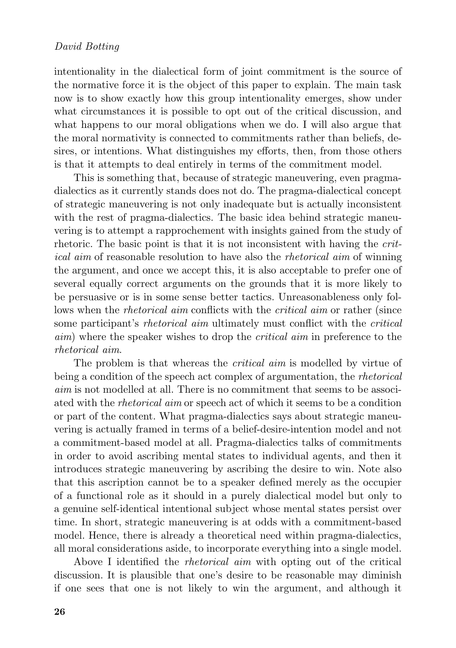intentionality in the dialectical form of joint commitment is the source of the normative force it is the object of this paper to explain. The main task now is to show exactly how this group intentionality emerges, show under what circumstances it is possible to opt out of the critical discussion, and what happens to our moral obligations when we do. I will also argue that the moral normativity is connected to commitments rather than beliefs, desires, or intentions. What distinguishes my efforts, then, from those others is that it attempts to deal entirely in terms of the commitment model.

This is something that, because of strategic maneuvering, even pragmadialectics as it currently stands does not do. The pragma-dialectical concept of strategic maneuvering is not only inadequate but is actually inconsistent with the rest of pragma-dialectics. The basic idea behind strategic maneuvering is to attempt a rapprochement with insights gained from the study of rhetoric. The basic point is that it is not inconsistent with having the *critical aim* of reasonable resolution to have also the *rhetorical aim* of winning the argument, and once we accept this, it is also acceptable to prefer one of several equally correct arguments on the grounds that it is more likely to be persuasive or is in some sense better tactics. Unreasonableness only follows when the *rhetorical aim* conflicts with the *critical aim* or rather (since some participant's *rhetorical aim* ultimately must conflict with the *critical aim*) where the speaker wishes to drop the *critical aim* in preference to the *rhetorical aim*.

The problem is that whereas the *critical aim* is modelled by virtue of being a condition of the speech act complex of argumentation, the *rhetorical aim* is not modelled at all. There is no commitment that seems to be associated with the *rhetorical aim* or speech act of which it seems to be a condition or part of the content. What pragma-dialectics says about strategic maneuvering is actually framed in terms of a belief-desire-intention model and not a commitment-based model at all. Pragma-dialectics talks of commitments in order to avoid ascribing mental states to individual agents, and then it introduces strategic maneuvering by ascribing the desire to win. Note also that this ascription cannot be to a speaker defined merely as the occupier of a functional role as it should in a purely dialectical model but only to a genuine self-identical intentional subject whose mental states persist over time. In short, strategic maneuvering is at odds with a commitment-based model. Hence, there is already a theoretical need within pragma-dialectics, all moral considerations aside, to incorporate everything into a single model.

Above I identified the *rhetorical aim* with opting out of the critical discussion. It is plausible that one's desire to be reasonable may diminish if one sees that one is not likely to win the argument, and although it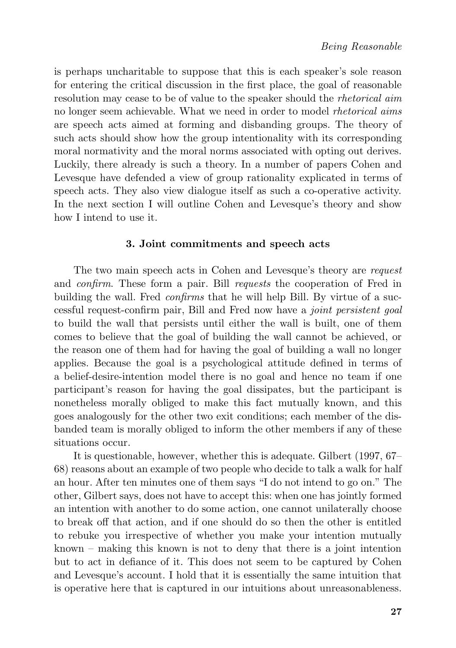is perhaps uncharitable to suppose that this is each speaker's sole reason for entering the critical discussion in the first place, the goal of reasonable resolution may cease to be of value to the speaker should the *rhetorical aim* no longer seem achievable. What we need in order to model *rhetorical aims* are speech acts aimed at forming and disbanding groups. The theory of such acts should show how the group intentionality with its corresponding moral normativity and the moral norms associated with opting out derives. Luckily, there already is such a theory. In a number of papers Cohen and Levesque have defended a view of group rationality explicated in terms of speech acts. They also view dialogue itself as such a co-operative activity. In the next section I will outline Cohen and Levesque's theory and show how I intend to use it.

#### **3. Joint commitments and speech acts**

The two main speech acts in Cohen and Levesque's theory are *request* and *confirm*. These form a pair. Bill *requests* the cooperation of Fred in building the wall. Fred *confirms* that he will help Bill. By virtue of a successful request-confirm pair, Bill and Fred now have a *joint persistent goal* to build the wall that persists until either the wall is built, one of them comes to believe that the goal of building the wall cannot be achieved, or the reason one of them had for having the goal of building a wall no longer applies. Because the goal is a psychological attitude defined in terms of a belief-desire-intention model there is no goal and hence no team if one participant's reason for having the goal dissipates, but the participant is nonetheless morally obliged to make this fact mutually known, and this goes analogously for the other two exit conditions; each member of the disbanded team is morally obliged to inform the other members if any of these situations occur.

It is questionable, however, whether this is adequate. Gilbert (1997, 67– 68) reasons about an example of two people who decide to talk a walk for half an hour. After ten minutes one of them says "I do not intend to go on." The other, Gilbert says, does not have to accept this: when one has jointly formed an intention with another to do some action, one cannot unilaterally choose to break off that action, and if one should do so then the other is entitled to rebuke you irrespective of whether you make your intention mutually known – making this known is not to deny that there is a joint intention but to act in defiance of it. This does not seem to be captured by Cohen and Levesque's account. I hold that it is essentially the same intuition that is operative here that is captured in our intuitions about unreasonableness.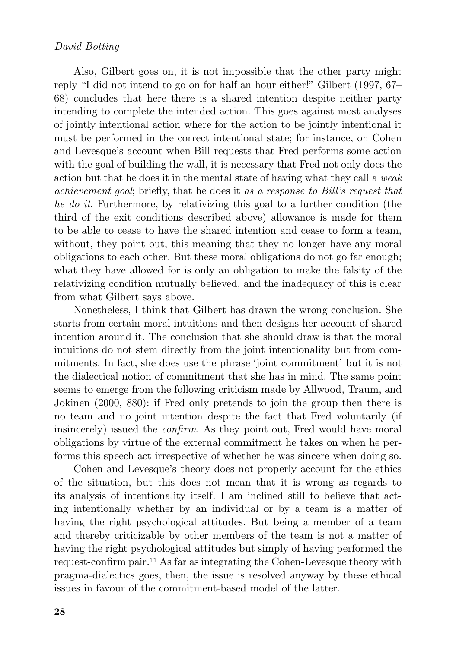Also, Gilbert goes on, it is not impossible that the other party might reply "I did not intend to go on for half an hour either!" Gilbert (1997, 67– 68) concludes that here there is a shared intention despite neither party intending to complete the intended action. This goes against most analyses of jointly intentional action where for the action to be jointly intentional it must be performed in the correct intentional state; for instance, on Cohen and Levesque's account when Bill requests that Fred performs some action with the goal of building the wall, it is necessary that Fred not only does the action but that he does it in the mental state of having what they call a *weak achievement goal*; briefly, that he does it *as a response to Bill's request that he do it*. Furthermore, by relativizing this goal to a further condition (the third of the exit conditions described above) allowance is made for them to be able to cease to have the shared intention and cease to form a team, without, they point out, this meaning that they no longer have any moral obligations to each other. But these moral obligations do not go far enough; what they have allowed for is only an obligation to make the falsity of the relativizing condition mutually believed, and the inadequacy of this is clear from what Gilbert says above.

Nonetheless, I think that Gilbert has drawn the wrong conclusion. She starts from certain moral intuitions and then designs her account of shared intention around it. The conclusion that she should draw is that the moral intuitions do not stem directly from the joint intentionality but from commitments. In fact, she does use the phrase 'joint commitment' but it is not the dialectical notion of commitment that she has in mind. The same point seems to emerge from the following criticism made by Allwood, Traum, and Jokinen (2000, 880): if Fred only pretends to join the group then there is no team and no joint intention despite the fact that Fred voluntarily (if insincerely) issued the *confirm*. As they point out, Fred would have moral obligations by virtue of the external commitment he takes on when he performs this speech act irrespective of whether he was sincere when doing so.

Cohen and Levesque's theory does not properly account for the ethics of the situation, but this does not mean that it is wrong as regards to its analysis of intentionality itself. I am inclined still to believe that acting intentionally whether by an individual or by a team is a matter of having the right psychological attitudes. But being a member of a team and thereby criticizable by other members of the team is not a matter of having the right psychological attitudes but simply of having performed the request-confirm pair.<sup>11</sup> As far as integrating the Cohen-Levesque theory with pragma-dialectics goes, then, the issue is resolved anyway by these ethical issues in favour of the commitment-based model of the latter.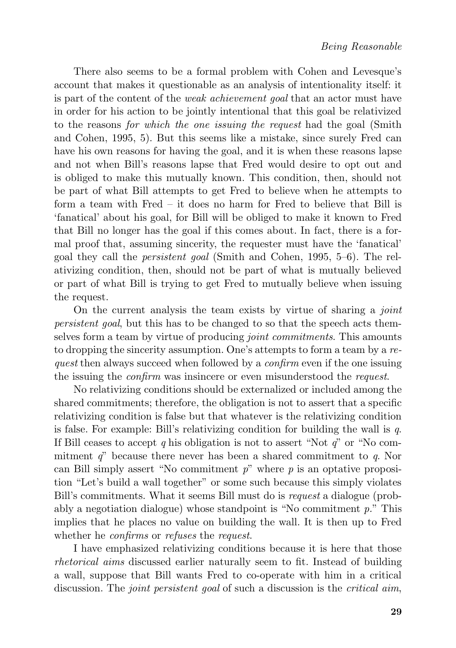There also seems to be a formal problem with Cohen and Levesque's account that makes it questionable as an analysis of intentionality itself: it is part of the content of the *weak achievement goal* that an actor must have in order for his action to be jointly intentional that this goal be relativized to the reasons *for which the one issuing the request* had the goal (Smith and Cohen, 1995, 5). But this seems like a mistake, since surely Fred can have his own reasons for having the goal, and it is when these reasons lapse and not when Bill's reasons lapse that Fred would desire to opt out and is obliged to make this mutually known. This condition, then, should not be part of what Bill attempts to get Fred to believe when he attempts to form a team with Fred – it does no harm for Fred to believe that Bill is 'fanatical' about his goal, for Bill will be obliged to make it known to Fred that Bill no longer has the goal if this comes about. In fact, there is a formal proof that, assuming sincerity, the requester must have the 'fanatical' goal they call the *persistent goal* (Smith and Cohen, 1995, 5–6). The relativizing condition, then, should not be part of what is mutually believed or part of what Bill is trying to get Fred to mutually believe when issuing the request.

On the current analysis the team exists by virtue of sharing a *joint persistent goal*, but this has to be changed to so that the speech acts themselves form a team by virtue of producing *joint commitments*. This amounts to dropping the sincerity assumption. One's attempts to form a team by a *request* then always succeed when followed by a *confirm* even if the one issuing the issuing the *confirm* was insincere or even misunderstood the *request*.

No relativizing conditions should be externalized or included among the shared commitments; therefore, the obligation is not to assert that a specific relativizing condition is false but that whatever is the relativizing condition is false. For example: Bill's relativizing condition for building the wall is *q*. If Bill ceases to accept *q* his obligation is not to assert "Not *q*" or "No commitment *q*" because there never has been a shared commitment to *q*. Nor can Bill simply assert "No commitment *p*" where *p* is an optative proposition "Let's build a wall together" or some such because this simply violates Bill's commitments. What it seems Bill must do is *request* a dialogue (probably a negotiation dialogue) whose standpoint is "No commitment *p.*" This implies that he places no value on building the wall. It is then up to Fred whether he *confirms* or *refuses* the *request*.

I have emphasized relativizing conditions because it is here that those *rhetorical aims* discussed earlier naturally seem to fit. Instead of building a wall, suppose that Bill wants Fred to co-operate with him in a critical discussion. The *joint persistent goal* of such a discussion is the *critical aim*,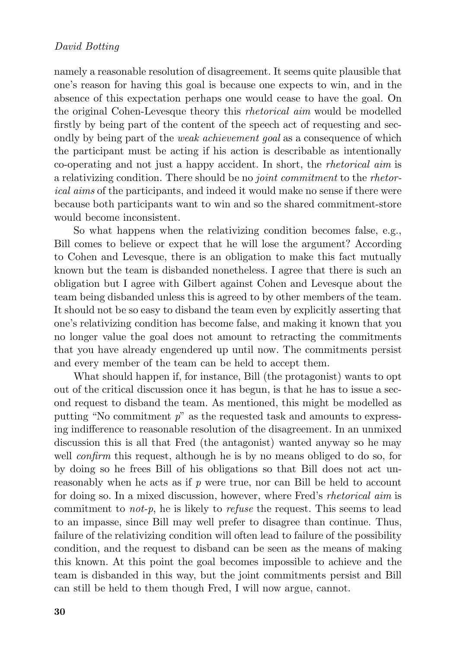namely a reasonable resolution of disagreement. It seems quite plausible that one's reason for having this goal is because one expects to win, and in the absence of this expectation perhaps one would cease to have the goal. On the original Cohen-Levesque theory this *rhetorical aim* would be modelled firstly by being part of the content of the speech act of requesting and secondly by being part of the *weak achievement goal* as a consequence of which the participant must be acting if his action is describable as intentionally co-operating and not just a happy accident. In short, the *rhetorical aim* is a relativizing condition. There should be no *joint commitment* to the *rhetorical aims* of the participants, and indeed it would make no sense if there were because both participants want to win and so the shared commitment-store would become inconsistent.

So what happens when the relativizing condition becomes false, e.g., Bill comes to believe or expect that he will lose the argument? According to Cohen and Levesque, there is an obligation to make this fact mutually known but the team is disbanded nonetheless. I agree that there is such an obligation but I agree with Gilbert against Cohen and Levesque about the team being disbanded unless this is agreed to by other members of the team. It should not be so easy to disband the team even by explicitly asserting that one's relativizing condition has become false, and making it known that you no longer value the goal does not amount to retracting the commitments that you have already engendered up until now. The commitments persist and every member of the team can be held to accept them.

What should happen if, for instance, Bill (the protagonist) wants to opt out of the critical discussion once it has begun, is that he has to issue a second request to disband the team. As mentioned, this might be modelled as putting "No commitment *p*" as the requested task and amounts to expressing indifference to reasonable resolution of the disagreement. In an unmixed discussion this is all that Fred (the antagonist) wanted anyway so he may well *confirm* this request, although he is by no means obliged to do so, for by doing so he frees Bill of his obligations so that Bill does not act unreasonably when he acts as if *p* were true, nor can Bill be held to account for doing so. In a mixed discussion, however, where Fred's *rhetorical aim* is commitment to *not-p*, he is likely to *refuse* the request. This seems to lead to an impasse, since Bill may well prefer to disagree than continue. Thus, failure of the relativizing condition will often lead to failure of the possibility condition, and the request to disband can be seen as the means of making this known. At this point the goal becomes impossible to achieve and the team is disbanded in this way, but the joint commitments persist and Bill can still be held to them though Fred, I will now argue, cannot.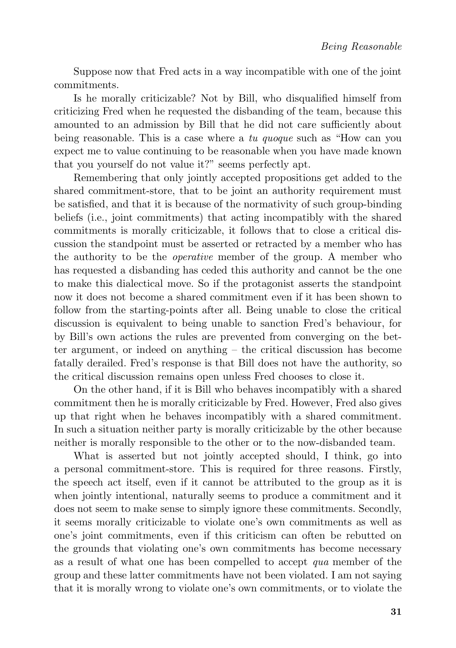Suppose now that Fred acts in a way incompatible with one of the joint commitments.

Is he morally criticizable? Not by Bill, who disqualified himself from criticizing Fred when he requested the disbanding of the team, because this amounted to an admission by Bill that he did not care sufficiently about being reasonable. This is a case where a *tu quoque* such as "How can you expect me to value continuing to be reasonable when you have made known that you yourself do not value it?" seems perfectly apt.

Remembering that only jointly accepted propositions get added to the shared commitment-store, that to be joint an authority requirement must be satisfied, and that it is because of the normativity of such group-binding beliefs (i.e., joint commitments) that acting incompatibly with the shared commitments is morally criticizable, it follows that to close a critical discussion the standpoint must be asserted or retracted by a member who has the authority to be the *operative* member of the group. A member who has requested a disbanding has ceded this authority and cannot be the one to make this dialectical move. So if the protagonist asserts the standpoint now it does not become a shared commitment even if it has been shown to follow from the starting-points after all. Being unable to close the critical discussion is equivalent to being unable to sanction Fred's behaviour, for by Bill's own actions the rules are prevented from converging on the better argument, or indeed on anything – the critical discussion has become fatally derailed. Fred's response is that Bill does not have the authority, so the critical discussion remains open unless Fred chooses to close it.

On the other hand, if it is Bill who behaves incompatibly with a shared commitment then he is morally criticizable by Fred. However, Fred also gives up that right when he behaves incompatibly with a shared commitment. In such a situation neither party is morally criticizable by the other because neither is morally responsible to the other or to the now-disbanded team.

What is asserted but not jointly accepted should, I think, go into a personal commitment-store. This is required for three reasons. Firstly, the speech act itself, even if it cannot be attributed to the group as it is when jointly intentional, naturally seems to produce a commitment and it does not seem to make sense to simply ignore these commitments. Secondly, it seems morally criticizable to violate one's own commitments as well as one's joint commitments, even if this criticism can often be rebutted on the grounds that violating one's own commitments has become necessary as a result of what one has been compelled to accept *qua* member of the group and these latter commitments have not been violated. I am not saying that it is morally wrong to violate one's own commitments, or to violate the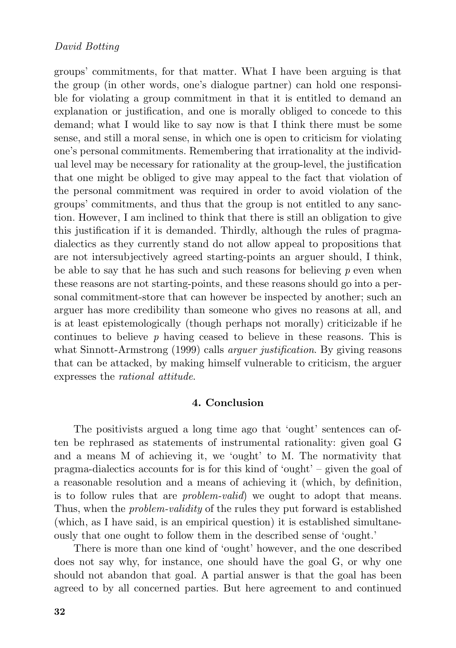groups' commitments, for that matter. What I have been arguing is that the group (in other words, one's dialogue partner) can hold one responsible for violating a group commitment in that it is entitled to demand an explanation or justification, and one is morally obliged to concede to this demand; what I would like to say now is that I think there must be some sense, and still a moral sense, in which one is open to criticism for violating one's personal commitments. Remembering that irrationality at the individual level may be necessary for rationality at the group-level, the justification that one might be obliged to give may appeal to the fact that violation of the personal commitment was required in order to avoid violation of the groups' commitments, and thus that the group is not entitled to any sanction. However, I am inclined to think that there is still an obligation to give this justification if it is demanded. Thirdly, although the rules of pragmadialectics as they currently stand do not allow appeal to propositions that are not intersubjectively agreed starting-points an arguer should, I think, be able to say that he has such and such reasons for believing *p* even when these reasons are not starting-points, and these reasons should go into a personal commitment-store that can however be inspected by another; such an arguer has more credibility than someone who gives no reasons at all, and is at least epistemologically (though perhaps not morally) criticizable if he continues to believe *p* having ceased to believe in these reasons. This is what Sinnott-Armstrong (1999) calls *arguer justification*. By giving reasons that can be attacked, by making himself vulnerable to criticism, the arguer expresses the *rational attitude*.

#### **4. Conclusion**

The positivists argued a long time ago that 'ought' sentences can often be rephrased as statements of instrumental rationality: given goal G and a means M of achieving it, we 'ought' to M. The normativity that pragma-dialectics accounts for is for this kind of 'ought' – given the goal of a reasonable resolution and a means of achieving it (which, by definition, is to follow rules that are *problem-valid*) we ought to adopt that means. Thus, when the *problem-validity* of the rules they put forward is established (which, as I have said, is an empirical question) it is established simultaneously that one ought to follow them in the described sense of 'ought.'

There is more than one kind of 'ought' however, and the one described does not say why, for instance, one should have the goal G, or why one should not abandon that goal. A partial answer is that the goal has been agreed to by all concerned parties. But here agreement to and continued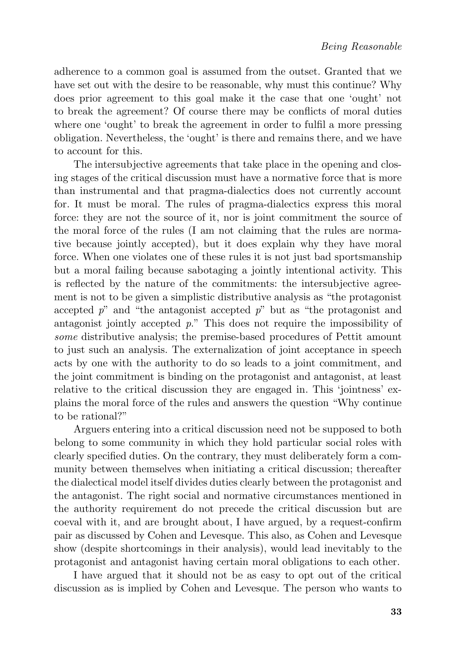adherence to a common goal is assumed from the outset. Granted that we have set out with the desire to be reasonable, why must this continue? Why does prior agreement to this goal make it the case that one 'ought' not to break the agreement? Of course there may be conflicts of moral duties where one 'ought' to break the agreement in order to fulfil a more pressing obligation. Nevertheless, the 'ought' is there and remains there, and we have to account for this.

The intersubjective agreements that take place in the opening and closing stages of the critical discussion must have a normative force that is more than instrumental and that pragma-dialectics does not currently account for. It must be moral. The rules of pragma-dialectics express this moral force: they are not the source of it, nor is joint commitment the source of the moral force of the rules (I am not claiming that the rules are normative because jointly accepted), but it does explain why they have moral force. When one violates one of these rules it is not just bad sportsmanship but a moral failing because sabotaging a jointly intentional activity. This is reflected by the nature of the commitments: the intersubjective agreement is not to be given a simplistic distributive analysis as "the protagonist accepted *p*" and "the antagonist accepted *p*" but as "the protagonist and antagonist jointly accepted *p*." This does not require the impossibility of *some* distributive analysis; the premise-based procedures of Pettit amount to just such an analysis. The externalization of joint acceptance in speech acts by one with the authority to do so leads to a joint commitment, and the joint commitment is binding on the protagonist and antagonist, at least relative to the critical discussion they are engaged in. This 'jointness' explains the moral force of the rules and answers the question "Why continue to be rational?"

Arguers entering into a critical discussion need not be supposed to both belong to some community in which they hold particular social roles with clearly specified duties. On the contrary, they must deliberately form a community between themselves when initiating a critical discussion; thereafter the dialectical model itself divides duties clearly between the protagonist and the antagonist. The right social and normative circumstances mentioned in the authority requirement do not precede the critical discussion but are coeval with it, and are brought about, I have argued, by a request-confirm pair as discussed by Cohen and Levesque. This also, as Cohen and Levesque show (despite shortcomings in their analysis), would lead inevitably to the protagonist and antagonist having certain moral obligations to each other.

I have argued that it should not be as easy to opt out of the critical discussion as is implied by Cohen and Levesque. The person who wants to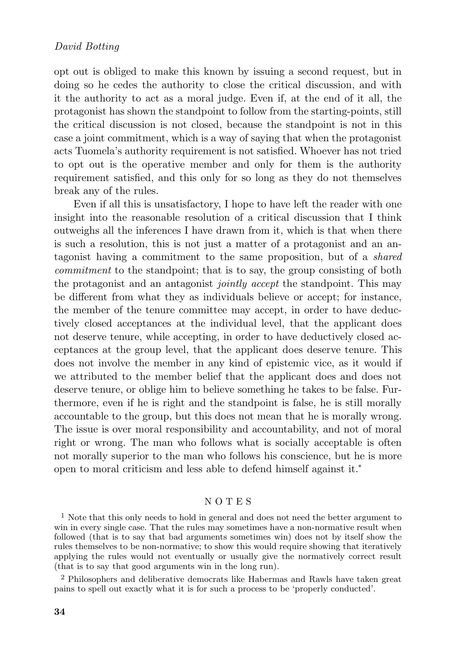opt out is obliged to make this known by issuing a second request, but in doing so he cedes the authority to close the critical discussion, and with it the authority to act as a moral judge. Even if, at the end of it all, the protagonist has shown the standpoint to follow from the starting-points, still the critical discussion is not closed, because the standpoint is not in this case a joint commitment, which is a way of saying that when the protagonist acts Tuomela's authority requirement is not satisfied. Whoever has not tried to opt out is the operative member and only for them is the authority requirement satisfied, and this only for so long as they do not themselves break any of the rules.

Even if all this is unsatisfactory, I hope to have left the reader with one insight into the reasonable resolution of a critical discussion that I think outweighs all the inferences I have drawn from it, which is that when there is such a resolution, this is not just a matter of a protagonist and an antagonist having a commitment to the same proposition, but of a *shared commitment* to the standpoint; that is to say, the group consisting of both the protagonist and an antagonist *jointly accept* the standpoint. This may be different from what they as individuals believe or accept; for instance, the member of the tenure committee may accept, in order to have deductively closed acceptances at the individual level, that the applicant does not deserve tenure, while accepting, in order to have deductively closed acceptances at the group level, that the applicant does deserve tenure. This does not involve the member in any kind of epistemic vice, as it would if we attributed to the member belief that the applicant does and does not deserve tenure, or oblige him to believe something he takes to be false. Furthermore, even if he is right and the standpoint is false, he is still morally accountable to the group, but this does not mean that he is morally wrong. The issue is over moral responsibility and accountability, and not of moral right or wrong. The man who follows what is socially acceptable is often not morally superior to the man who follows his conscience, but he is more open to moral criticism and less able to defend himself against it.\*

#### N O T E S

<sup>1</sup> Note that this only needs to hold in general and does not need the better argument to win in every single case. That the rules may sometimes have a non-normative result when followed (that is to say that bad arguments sometimes win) does not by itself show the rules themselves to be non-normative; to show this would require showing that iteratively applying the rules would not eventually or usually give the normatively correct result (that is to say that good arguments win in the long run).

<sup>2</sup> Philosophers and deliberative democrats like Habermas and Rawls have taken great pains to spell out exactly what it is for such a process to be 'properly conducted'.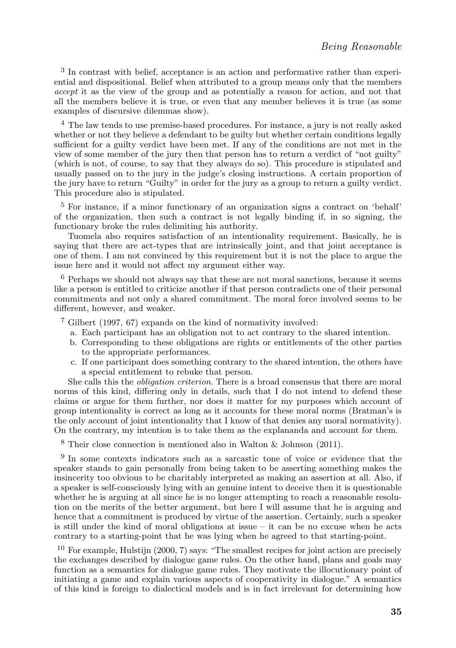<sup>3</sup> In contrast with belief, acceptance is an action and performative rather than experiential and dispositional. Belief when attributed to a group means only that the members *accept* it as the view of the group and as potentially a reason for action, and not that all the members believe it is true, or even that any member believes it is true (as some examples of discursive dilemmas show).

<sup>4</sup> The law tends to use premise-based procedures. For instance, a jury is not really asked whether or not they believe a defendant to be guilty but whether certain conditions legally sufficient for a guilty verdict have been met. If any of the conditions are not met in the view of some member of the jury then that person has to return a verdict of "not guilty" (which is not, of course, to say that they always do so). This procedure is stipulated and usually passed on to the jury in the judge's closing instructions. A certain proportion of the jury have to return "Guilty" in order for the jury as a group to return a guilty verdict. This procedure also is stipulated.

<sup>5</sup> For instance, if a minor functionary of an organization signs a contract on 'behalf' of the organization, then such a contract is not legally binding if, in so signing, the functionary broke the rules delimiting his authority.

Tuomela also requires satisfaction of an intentionality requirement. Basically, he is saying that there are act-types that are intrinsically joint, and that joint acceptance is one of them. I am not convinced by this requirement but it is not the place to argue the issue here and it would not affect my argument either way.

<sup>6</sup> Perhaps we should not always say that these are not moral sanctions, because it seems like a person is entitled to criticize another if that person contradicts one of their personal commitments and not only a shared commitment. The moral force involved seems to be different, however, and weaker.

<sup>7</sup> Gilbert (1997, 67) expands on the kind of normativity involved:

- a. Each participant has an obligation not to act contrary to the shared intention.
- b. Corresponding to these obligations are rights or entitlements of the other parties to the appropriate performances.
- c. If one participant does something contrary to the shared intention, the others have a special entitlement to rebuke that person.

She calls this the *obligation criterion*. There is a broad consensus that there are moral norms of this kind, differing only in details, such that I do not intend to defend these claims or argue for them further, nor does it matter for my purposes which account of group intentionality is correct as long as it accounts for these moral norms (Bratman's is the only account of joint intentionality that I know of that denies any moral normativity). On the contrary, my intention is to take them as the explananda and account for them.

<sup>8</sup> Their close connection is mentioned also in Walton & Johnson (2011).

<sup>9</sup> In some contexts indicators such as a sarcastic tone of voice or evidence that the speaker stands to gain personally from being taken to be asserting something makes the insincerity too obvious to be charitably interpreted as making an assertion at all. Also, if a speaker is self-consciously lying with an genuine intent to deceive then it is questionable whether he is arguing at all since he is no longer attempting to reach a reasonable resolution on the merits of the better argument, but here I will assume that he is arguing and hence that a commitment is produced by virtue of the assertion. Certainly, such a speaker is still under the kind of moral obligations at issue – it can be no excuse when he acts contrary to a starting-point that he was lying when he agreed to that starting-point.

<sup>10</sup> For example, Hulstijn (2000, 7) says: "The smallest recipes for joint action are precisely the exchanges described by dialogue game rules. On the other hand, plans and goals may function as a semantics for dialogue game rules. They motivate the illocutionary point of initiating a game and explain various aspects of cooperativity in dialogue." A semantics of this kind is foreign to dialectical models and is in fact irrelevant for determining how